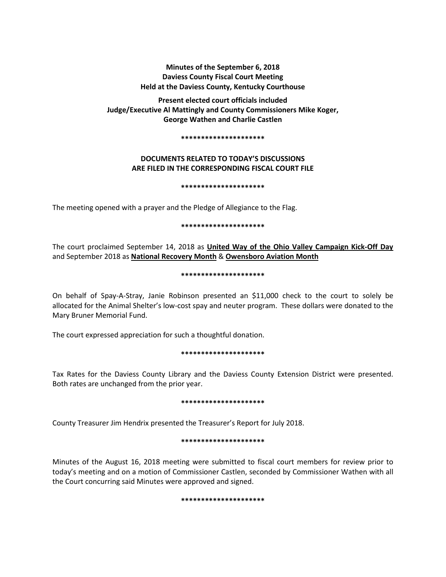# **Minutes of the September 6, 2018 Daviess County Fiscal Court Meeting Held at the Daviess County, Kentucky Courthouse**

**Present elected court officials included Judge/Executive Al Mattingly and County Commissioners Mike Koger, George Wathen and Charlie Castlen** 

#### **\*\*\*\*\*\*\*\*\*\*\*\*\*\*\*\*\*\*\*\*\***

# **DOCUMENTS RELATED TO TODAY'S DISCUSSIONS ARE FILED IN THE CORRESPONDING FISCAL COURT FILE**

## **\*\*\*\*\*\*\*\*\*\*\*\*\*\*\*\*\*\*\*\*\***

The meeting opened with a prayer and the Pledge of Allegiance to the Flag.

# **\*\*\*\*\*\*\*\*\*\*\*\*\*\*\*\*\*\*\*\*\***

The court proclaimed September 14, 2018 as **United Way of the Ohio Valley Campaign Kick-Off Day** and September 2018 as **National Recovery Month** & **Owensboro Aviation Month**

## **\*\*\*\*\*\*\*\*\*\*\*\*\*\*\*\*\*\*\*\*\***

On behalf of Spay-A-Stray, Janie Robinson presented an \$11,000 check to the court to solely be allocated for the Animal Shelter's low-cost spay and neuter program. These dollars were donated to the Mary Bruner Memorial Fund.

The court expressed appreciation for such a thoughtful donation.

## **\*\*\*\*\*\*\*\*\*\*\*\*\*\*\*\*\*\*\*\*\***

Tax Rates for the Daviess County Library and the Daviess County Extension District were presented. Both rates are unchanged from the prior year.

## **\*\*\*\*\*\*\*\*\*\*\*\*\*\*\*\*\*\*\*\*\***

County Treasurer Jim Hendrix presented the Treasurer's Report for July 2018.

# **\*\*\*\*\*\*\*\*\*\*\*\*\*\*\*\*\*\*\*\*\***

Minutes of the August 16, 2018 meeting were submitted to fiscal court members for review prior to today's meeting and on a motion of Commissioner Castlen, seconded by Commissioner Wathen with all the Court concurring said Minutes were approved and signed.

## **\*\*\*\*\*\*\*\*\*\*\*\*\*\*\*\*\*\*\*\*\***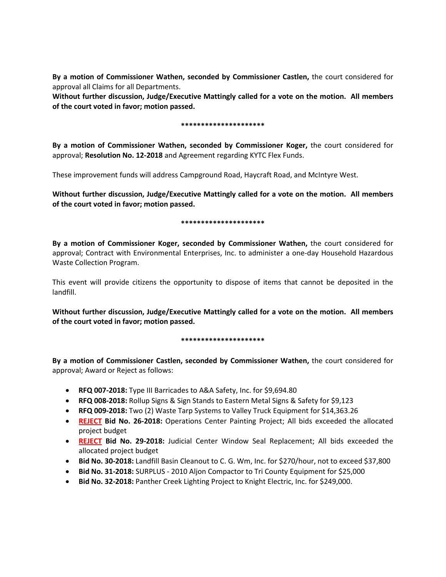**By a motion of Commissioner Wathen, seconded by Commissioner Castlen,** the court considered for approval all Claims for all Departments.

**Without further discussion, Judge/Executive Mattingly called for a vote on the motion. All members of the court voted in favor; motion passed.** 

# **\*\*\*\*\*\*\*\*\*\*\*\*\*\*\*\*\*\*\*\*\***

**By a motion of Commissioner Wathen, seconded by Commissioner Koger,** the court considered for approval; **Resolution No. 12-2018** and Agreement regarding KYTC Flex Funds.

These improvement funds will address Campground Road, Haycraft Road, and McIntyre West.

**Without further discussion, Judge/Executive Mattingly called for a vote on the motion. All members of the court voted in favor; motion passed.** 

# **\*\*\*\*\*\*\*\*\*\*\*\*\*\*\*\*\*\*\*\*\***

**By a motion of Commissioner Koger, seconded by Commissioner Wathen,** the court considered for approval; Contract with Environmental Enterprises, Inc. to administer a one-day Household Hazardous Waste Collection Program.

This event will provide citizens the opportunity to dispose of items that cannot be deposited in the landfill.

**Without further discussion, Judge/Executive Mattingly called for a vote on the motion. All members of the court voted in favor; motion passed.** 

# **\*\*\*\*\*\*\*\*\*\*\*\*\*\*\*\*\*\*\*\*\***

**By a motion of Commissioner Castlen, seconded by Commissioner Wathen,** the court considered for approval; Award or Reject as follows:

- **RFQ 007-2018:** Type III Barricades to A&A Safety, Inc. for \$9,694.80
- **RFQ 008-2018:** Rollup Signs & Sign Stands to Eastern Metal Signs & Safety for \$9,123
- **RFQ 009-2018:** Two (2) Waste Tarp Systems to Valley Truck Equipment for \$14,363.26
- **REJECT Bid No. 26-2018:** Operations Center Painting Project; All bids exceeded the allocated project budget
- **REJECT Bid No. 29-2018:** Judicial Center Window Seal Replacement; All bids exceeded the allocated project budget
- **Bid No. 30-2018:** Landfill Basin Cleanout to C. G. Wm, Inc. for \$270/hour, not to exceed \$37,800
- **Bid No. 31-2018:** SURPLUS 2010 Aljon Compactor to Tri County Equipment for \$25,000
- **Bid No. 32-2018:** Panther Creek Lighting Project to Knight Electric, Inc. for \$249,000.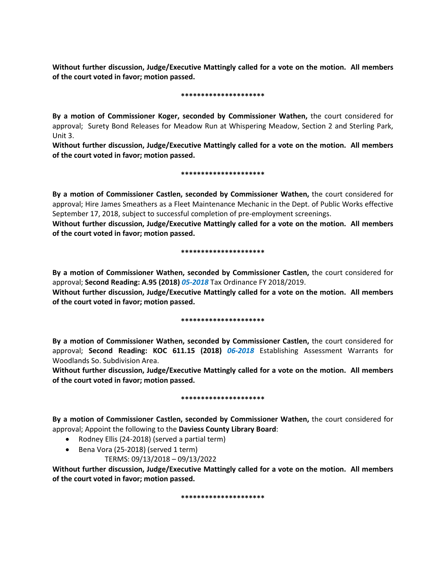**Without further discussion, Judge/Executive Mattingly called for a vote on the motion. All members of the court voted in favor; motion passed.** 

## **\*\*\*\*\*\*\*\*\*\*\*\*\*\*\*\*\*\*\*\*\***

**By a motion of Commissioner Koger, seconded by Commissioner Wathen,** the court considered for approval; Surety Bond Releases for Meadow Run at Whispering Meadow, Section 2 and Sterling Park, Unit 3.

**Without further discussion, Judge/Executive Mattingly called for a vote on the motion. All members of the court voted in favor; motion passed.** 

# **\*\*\*\*\*\*\*\*\*\*\*\*\*\*\*\*\*\*\*\*\***

**By a motion of Commissioner Castlen, seconded by Commissioner Wathen,** the court considered for approval; Hire James Smeathers as a Fleet Maintenance Mechanic in the Dept. of Public Works effective September 17, 2018, subject to successful completion of pre-employment screenings.

**Without further discussion, Judge/Executive Mattingly called for a vote on the motion. All members of the court voted in favor; motion passed.** 

# **\*\*\*\*\*\*\*\*\*\*\*\*\*\*\*\*\*\*\*\*\***

**By a motion of Commissioner Wathen, seconded by Commissioner Castlen,** the court considered for approval; **Second Reading: A.95 (2018)** *05-2018* Tax Ordinance FY 2018/2019.

**Without further discussion, Judge/Executive Mattingly called for a vote on the motion. All members of the court voted in favor; motion passed.** 

# **\*\*\*\*\*\*\*\*\*\*\*\*\*\*\*\*\*\*\*\*\***

**By a motion of Commissioner Wathen, seconded by Commissioner Castlen,** the court considered for approval; **Second Reading: KOC 611.15 (2018)** *06-2018* Establishing Assessment Warrants for Woodlands So. Subdivision Area.

**Without further discussion, Judge/Executive Mattingly called for a vote on the motion. All members of the court voted in favor; motion passed.** 

## **\*\*\*\*\*\*\*\*\*\*\*\*\*\*\*\*\*\*\*\*\***

**By a motion of Commissioner Castlen, seconded by Commissioner Wathen,** the court considered for approval; Appoint the following to the **Daviess County Library Board**:

- Rodney Ellis (24-2018) (served a partial term)
- Bena Vora (25-2018) (served 1 term)
	- TERMS: 09/13/2018 09/13/2022

**Without further discussion, Judge/Executive Mattingly called for a vote on the motion. All members of the court voted in favor; motion passed.** 

**\*\*\*\*\*\*\*\*\*\*\*\*\*\*\*\*\*\*\*\*\***